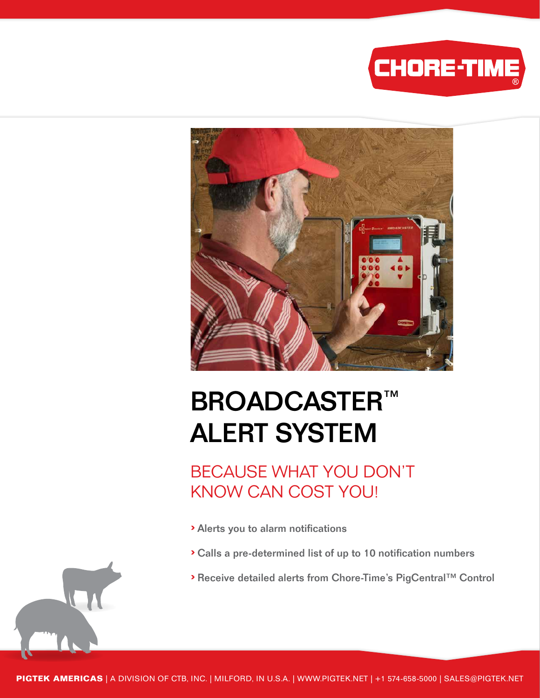



# **BROADCASTER™** ALERT SYSTEM

BECAUSE WHAT YOU DON'T KNOW CAN COST YOU!

- › Alerts you to alarm notifications
- › Calls a pre-determined list of up to 10 notification numbers
- › Receive detailed alerts from Chore-Time's PigCentral™ Control